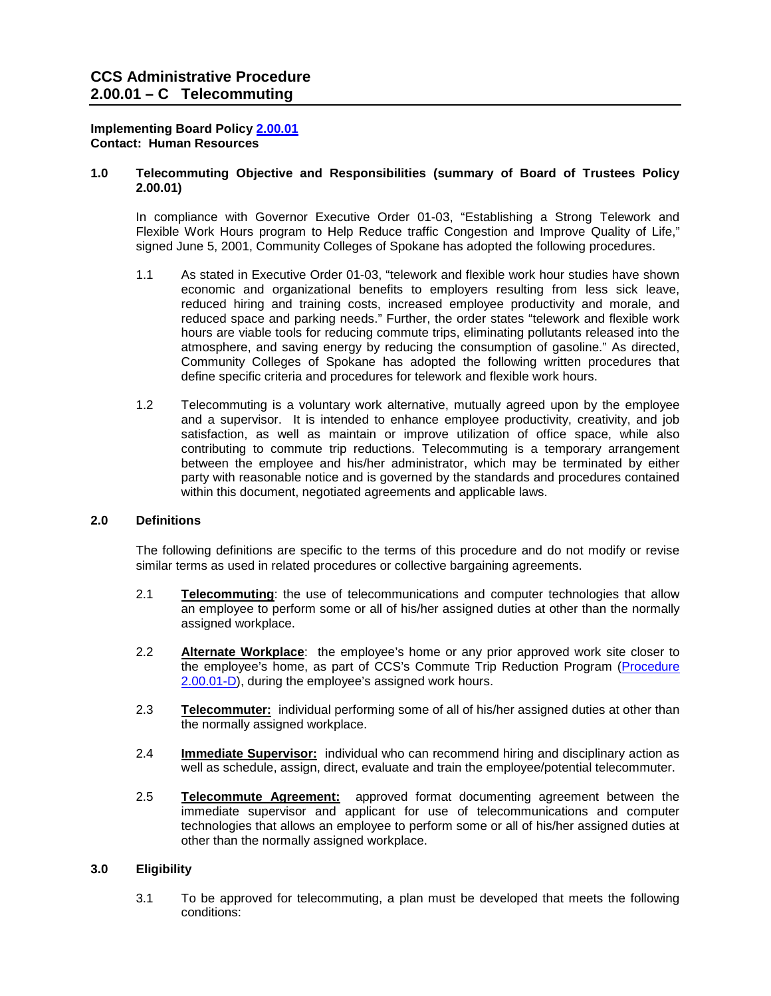#### **Implementing Board Policy [2.00.01](http://ccs.spokane.edu/About-Us/Leadership/Policies-Procedures/Chapter-2-Human-Resources#AccWE2-1)  Contact: Human Resources**

### **1.0 Telecommuting Objective and Responsibilities (summary of Board of Trustees Policy 2.00.01)**

 In compliance with Governor Executive Order 01-03, "Establishing a Strong Telework and Flexible Work Hours program to Help Reduce traffic Congestion and Improve Quality of Life," signed June 5, 2001, Community Colleges of Spokane has adopted the following procedures.

- reduced space and parking needs." Further, the order states "telework and flexible work atmosphere, and saving energy by reducing the consumption of gasoline." As directed, Community Colleges of Spokane has adopted the following written procedures that 1.1 As stated in Executive Order 01-03, "telework and flexible work hour studies have shown economic and organizational benefits to employers resulting from less sick leave, reduced hiring and training costs, increased employee productivity and morale, and hours are viable tools for reducing commute trips, eliminating pollutants released into the define specific criteria and procedures for telework and flexible work hours.
- and a supervisor. It is intended to enhance employee productivity, creativity, and job satisfaction, as well as maintain or improve utilization of office space, while also between the employee and his/her administrator, which may be terminated by either 1.2 Telecommuting is a voluntary work alternative, mutually agreed upon by the employee contributing to commute trip reductions. Telecommuting is a temporary arrangement party with reasonable notice and is governed by the standards and procedures contained within this document, negotiated agreements and applicable laws.

## **2.0 Definitions**

 The following definitions are specific to the terms of this procedure and do not modify or revise similar terms as used in related procedures or collective bargaining agreements.

- $2.1$  an employee to perform some or all of his/her assigned duties at other than the normally **Telecommuting**: the use of telecommunications and computer technologies that allow assigned workplace.
- $2.2$ Alternate Workplace: the employee's home or any prior approved work site closer to the employee's home, as part of CCS's Commute Trip Reduction Program [\(Procedure](https://shared.spokane.edu/ccsglobal/media/Global/PDFs/District/Policies/CH2/2.00.00_PersAdmin/2-00-01D_CommuteTrip.pdf)  [2.00.01-D\)](https://shared.spokane.edu/ccsglobal/media/Global/PDFs/District/Policies/CH2/2.00.00_PersAdmin/2-00-01D_CommuteTrip.pdf), during the employee's assigned work hours.
- $2.3$ **Telecommuter:** individual performing some of all of his/her assigned duties at other than the normally assigned workplace.
- 2.4 **Immediate Supervisor:** individual who can recommend hiring and disciplinary action as well as schedule, assign, direct, evaluate and train the employee/potential telecommuter.
- $2.5$ **Telecommute Agreement:** approved format documenting agreement between the immediate supervisor and applicant for use of telecommunications and computer technologies that allows an employee to perform some or all of his/her assigned duties at other than the normally assigned workplace.

## **3.0 Eligibility**

 3.1 To be approved for telecommuting, a plan must be developed that meets the following conditions: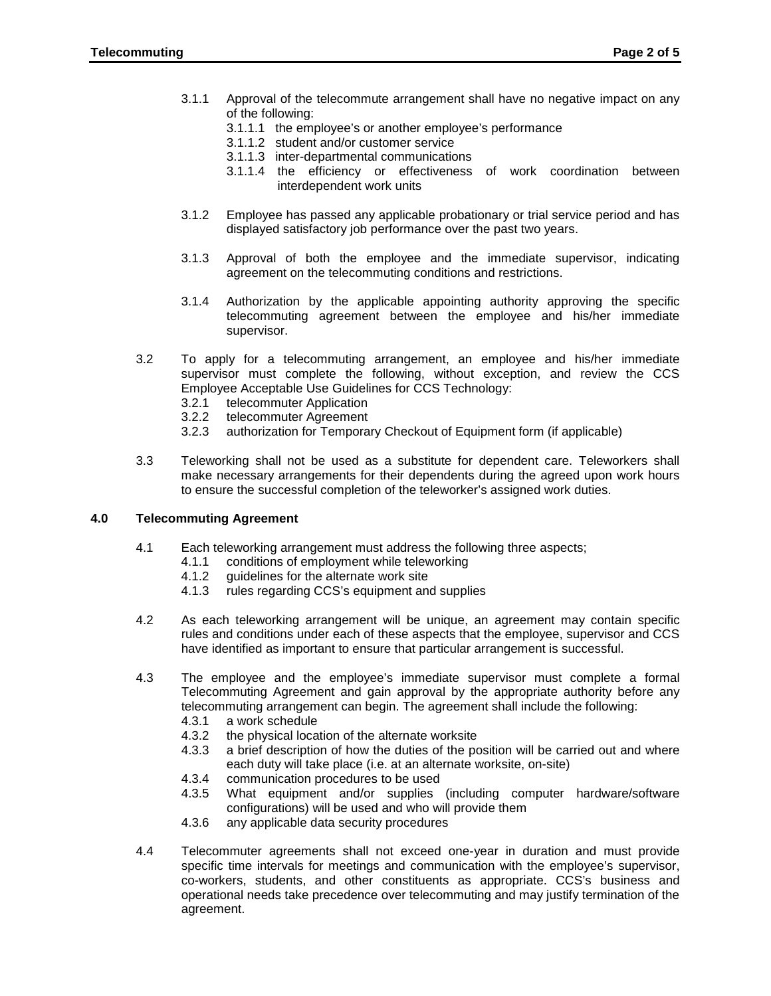- 3.1.1 Approval of the telecommute arrangement shall have no negative impact on any of the following:
	- 3.1.1.1 the employee's or another employee's performance
	- 3.1.1.2 student and/or customer service
	- 3.1.1.3 inter-departmental communications
	- 3.1.1.4 the efficiency or effectiveness of work coordination between interdependent work units
- 3.1.2 Employee has passed any applicable probationary or trial service period and has displayed satisfactory job performance over the past two years.
- 3.1.3 Approval of both the employee and the immediate supervisor, indicating agreement on the telecommuting conditions and restrictions.
- 3.1.4 Authorization by the applicable appointing authority approving the specific telecommuting agreement between the employee and his/her immediate supervisor.
- supervisor must complete the following, without exception, and review the CCS 3.2 To apply for a telecommuting arrangement, an employee and his/her immediate Employee Acceptable Use Guidelines for CCS Technology:
	- 3.2.1 telecommuter Application<br>3.2.2 telecommuter Agreement
	- 3.2.2 telecommuter Agreement
	- 3.2.3 authorization for Temporary Checkout of Equipment form (if applicable)
- make necessary arrangements for their dependents during the agreed upon work hours 3.3 Teleworking shall not be used as a substitute for dependent care. Teleworkers shall to ensure the successful completion of the teleworker's assigned work duties.

#### **4.0 Telecommuting Agreement**

- 4.1 Each teleworking arrangement must address the following three aspects;<br>4.1.1 conditions of employment while teleworking
	- conditions of employment while teleworking
	- 4.1.2 guidelines for the alternate work site<br>4.1.3 rules regarding CCS's equipment an
	- rules regarding CCS's equipment and supplies
- $4.2$ 4.2 As each teleworking arrangement will be unique, an agreement may contain specific rules and conditions under each of these aspects that the employee, supervisor and CCS have identified as important to ensure that particular arrangement is successful.
- $4.3$  Telecommuting Agreement and gain approval by the appropriate authority before any 4.3 The employee and the employee's immediate supervisor must complete a formal telecommuting arrangement can begin. The agreement shall include the following:<br>4.3.1 a work schedule
	- 4.3.1 a work schedule
	- 4.3.2 the physical location of the alternate worksite
	- 4.3.3 a brief description of how the duties of the position will be carried out and where each duty will take place (i.e. at an alternate worksite, on-site)
	- 4.3.4 communication procedures to be used
	- 4.3.5 What equipment and/or supplies (including computer hardware/software configurations) will be used and who will provide them
	- 4.3.6 any applicable data security procedures
- 4.4 Telecommuter agreements shall not exceed one-year in duration and must provide specific time intervals for meetings and communication with the employee's supervisor, co-workers, students, and other constituents as appropriate. CCS's business and operational needs take precedence over telecommuting and may justify termination of the agreement.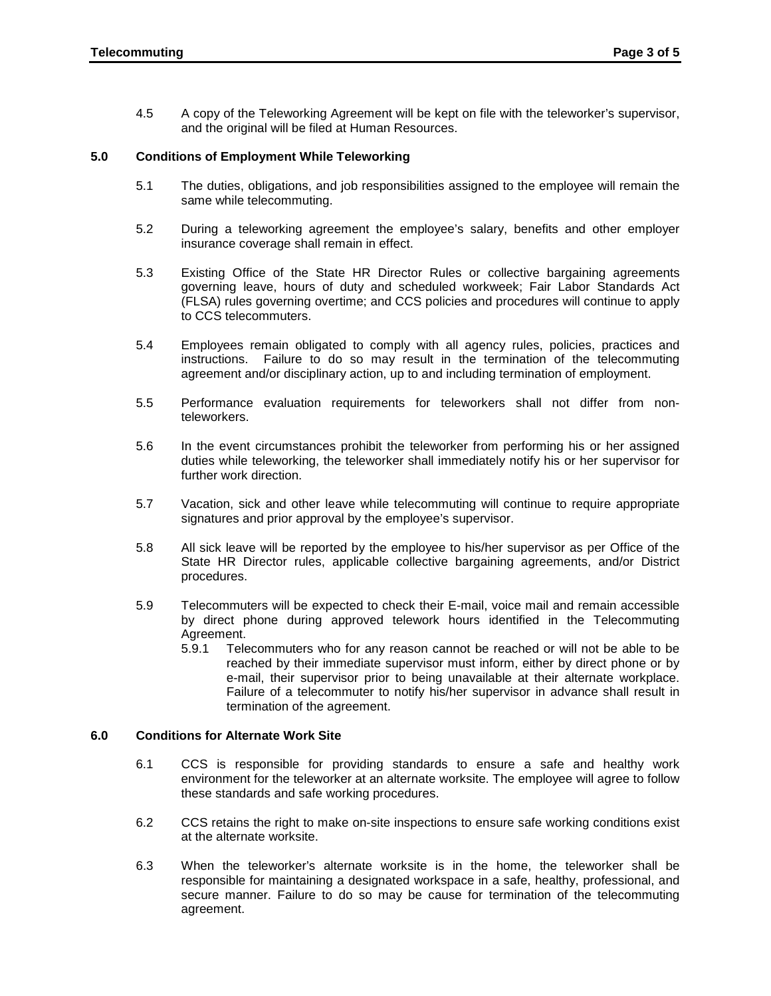4.5 A copy of the Teleworking Agreement will be kept on file with the teleworker's supervisor, and the original will be filed at Human Resources.

## **5.0 Conditions of Employment While Teleworking**

- $5.1$ The duties, obligations, and job responsibilities assigned to the employee will remain the same while telecommuting.
- $5.2$ During a teleworking agreement the employee's salary, benefits and other employer insurance coverage shall remain in effect.
- 5.3 Existing Office of the State HR Director Rules or collective bargaining agreements governing leave, hours of duty and scheduled workweek; Fair Labor Standards Act (FLSA) rules governing overtime; and CCS policies and procedures will continue to apply to CCS telecommuters.
- $5.4$  instructions. Failure to do so may result in the termination of the telecommuting Employees remain obligated to comply with all agency rules, policies, practices and agreement and/or disciplinary action, up to and including termination of employment.
- $5.5$ Performance evaluation requirements for teleworkers shall not differ from nonteleworkers.
- 5.6 duties while teleworking, the teleworker shall immediately notify his or her supervisor for In the event circumstances prohibit the teleworker from performing his or her assigned further work direction.
- 5.7 Vacation, sick and other leave while telecommuting will continue to require appropriate signatures and prior approval by the employee's supervisor.
- 5.8 State HR Director rules, applicable collective bargaining agreements, and/or District All sick leave will be reported by the employee to his/her supervisor as per Office of the procedures.
- 5.9 Telecommuters will be expected to check their E-mail, voice mail and remain accessible by direct phone during approved telework hours identified in the Telecommuting Agreement.
	- 5.9.1 Telecommuters who for any reason cannot be reached or will not be able to be reached by their immediate supervisor must inform, either by direct phone or by Failure of a telecommuter to notify his/her supervisor in advance shall result in e-mail, their supervisor prior to being unavailable at their alternate workplace. termination of the agreement.

## **6.0 Conditions for Alternate Work Site**

- 6.1 CCS is responsible for providing standards to ensure a safe and healthy work environment for the teleworker at an alternate worksite. The employee will agree to follow these standards and safe working procedures.
- $6.2$ CCS retains the right to make on-site inspections to ensure safe working conditions exist at the alternate worksite.
- 6.3 responsible for maintaining a designated workspace in a safe, healthy, professional, and When the teleworker's alternate worksite is in the home, the teleworker shall be secure manner. Failure to do so may be cause for termination of the telecommuting agreement.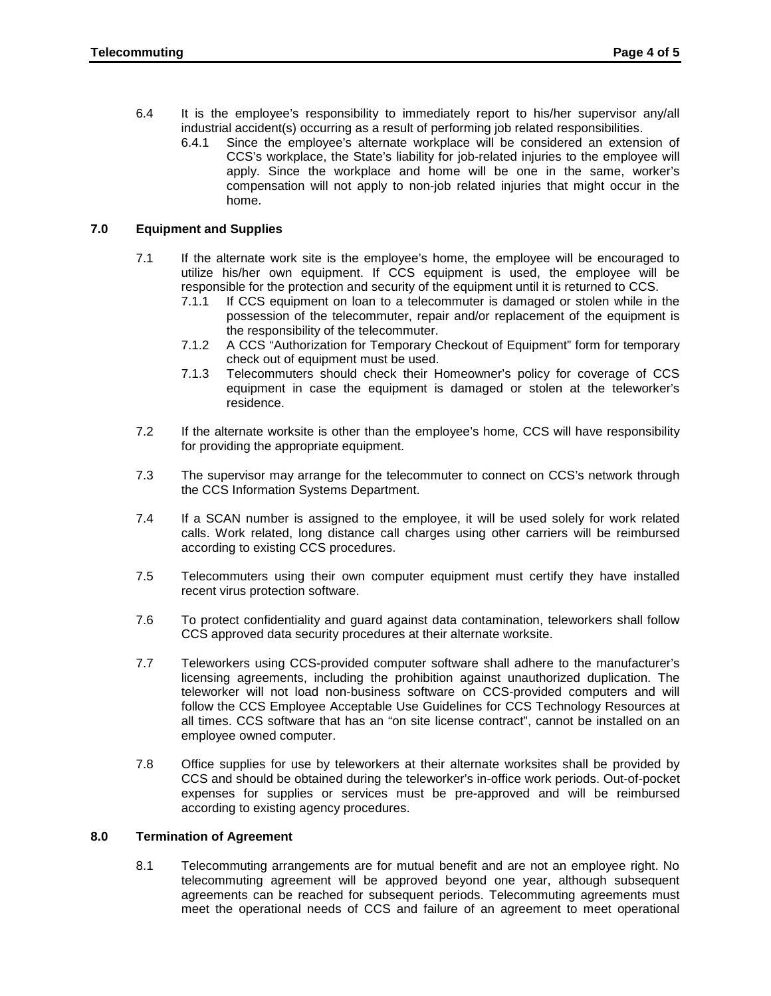- 6.4 industrial accident(s) occurring as a result of performing job related responsibilities. It is the employee's responsibility to immediately report to his/her supervisor any/all
	- CCS's workplace, the State's liability for job-related injuries to the employee will apply. Since the workplace and home will be one in the same, worker's compensation will not apply to non-job related injuries that might occur in the 6.4.1 Since the employee's alternate workplace will be considered an extension of home.

# **7.0 Equipment and Supplies**

- 7.1 If the alternate work site is the employee's home, the employee will be encouraged to utilize his/her own equipment. If CCS equipment is used, the employee will be responsible for the protection and security of the equipment until it is returned to CCS.
	- 7.1.1 If CCS equipment on loan to a telecommuter is damaged or stolen while in the possession of the telecommuter, repair and/or replacement of the equipment is the responsibility of the telecommuter.
	- 7.1.2 A CCS "Authorization for Temporary Checkout of Equipment" form for temporary check out of equipment must be used.
	- equipment in case the equipment is damaged or stolen at the teleworker's 7.1.3 Telecommuters should check their Homeowner's policy for coverage of CCS residence.
- 7.2 If the alternate worksite is other than the employee's home, CCS will have responsibility for providing the appropriate equipment.
- 7.3 The supervisor may arrange for the telecommuter to connect on CCS's network through the CCS Information Systems Department.
- 7.4 If a SCAN number is assigned to the employee, it will be used solely for work related calls. Work related, long distance call charges using other carriers will be reimbursed according to existing CCS procedures.
- 7.5 Telecommuters using their own computer equipment must certify they have installed recent virus protection software.
- 7.6 To protect confidentiality and guard against data contamination, teleworkers shall follow CCS approved data security procedures at their alternate worksite.
- $7.7$  follow the CCS Employee Acceptable Use Guidelines for CCS Technology Resources at all times. CCS software that has an "on site license contract", cannot be installed on an Teleworkers using CCS-provided computer software shall adhere to the manufacturer's licensing agreements, including the prohibition against unauthorized duplication. The teleworker will not load non-business software on CCS-provided computers and will employee owned computer.
- $7.8$ Office supplies for use by teleworkers at their alternate worksites shall be provided by CCS and should be obtained during the teleworker's in-office work periods. Out-of-pocket expenses for supplies or services must be pre-approved and will be reimbursed according to existing agency procedures.

## **8.0 Termination of Agreement**

8.1 Telecommuting arrangements are for mutual benefit and are not an employee right. No telecommuting agreement will be approved beyond one year, although subsequent agreements can be reached for subsequent periods. Telecommuting agreements must meet the operational needs of CCS and failure of an agreement to meet operational